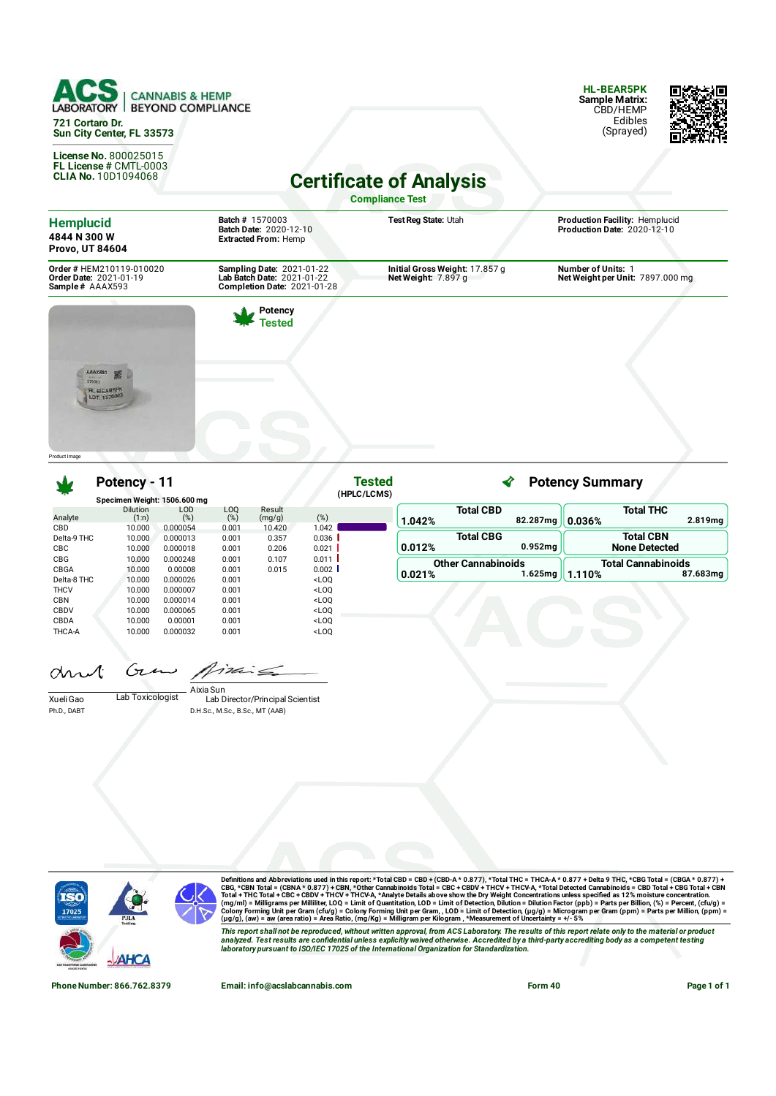

**License No.** 800025015 **FL License #** CMTL-0003 **CLIA No.** 10D1094068

**HL-BEAR5PK Sample Matrix:** CBD/HEMP Edibles (Sprayed)



**Certificate of Analysis** 

**Compliance Test**

| <b>Hemplucid</b><br>4844 N 300 W<br><b>Provo, UT 84604</b>            | <b>Batch # 1570003</b><br><b>Batch Date: 2020-12-10</b><br><b>Extracted From: Hemp</b>               | Test Reg State: Utah                                  | Production Facility: Hemplucid<br>Production Date: 2020-12-10 |
|-----------------------------------------------------------------------|------------------------------------------------------------------------------------------------------|-------------------------------------------------------|---------------------------------------------------------------|
| Order # HEM210119-010020<br>Order Date: 2021-01-19<br>Sample# AAAX593 | <b>Sampling Date: 2021-01-22</b><br>Lab Batch Date: 2021-01-22<br><b>Completion Date: 2021-01-28</b> | Initial Gross Weight: 17.857 g<br>Net Weight: 7.897 g | <b>Number of Units: 1</b><br>Net Weight per Unit: 7897.000 mg |
| AAAX683                                                               | Potency<br>Tested                                                                                    |                                                       |                                                               |
| 5700px<br><b>HL-BEARSPK</b><br>LOT 1570003                            |                                                                                                      |                                                       |                                                               |

Product Image

### **Potency - 11**

|                                   | Potency - 11                       |                                 |                                  |                            | <b>Tested</b>                                                                                                                                                    |        |                                         | <b>Potency Summary</b> |                                          |  |  |
|-----------------------------------|------------------------------------|---------------------------------|----------------------------------|----------------------------|------------------------------------------------------------------------------------------------------------------------------------------------------------------|--------|-----------------------------------------|------------------------|------------------------------------------|--|--|
|                                   | Specimen Weight: 1506.600 mg       |                                 |                                  |                            | (HPLC/LCMS)                                                                                                                                                      |        |                                         |                        |                                          |  |  |
| Analyte<br>CBD                    | <b>Dilution</b><br>(1:n)<br>10.000 | <b>LOD</b><br>(%)<br>0.000054   | L <sub>O</sub> Q<br>(%)<br>0.001 | Result<br>(mg/g)<br>10.420 | (%)<br>1.042                                                                                                                                                     | 1.042% | <b>Total CBD</b><br>82.287mg            | 0.036%                 | <b>Total THC</b><br>2.819mg              |  |  |
| Delta-9 THC<br>CBC                | 10.000<br>10.000                   | 0.000013<br>0.000018            | 0.001<br>0.001                   | 0.357<br>0.206             | 0.036<br>0.021                                                                                                                                                   | 0.012% | <b>Total CBG</b><br>0.952 <sub>ma</sub> |                        | <b>Total CBN</b><br><b>None Detected</b> |  |  |
| <b>CBG</b><br>CBGA<br>Delta-8 THC | 10,000<br>10,000<br>10.000         | 0.000248<br>0.00008<br>0.000026 | 0.001<br>0.001<br>0.001          | 0.107<br>0.015             | 0.011<br>0.002<br><loq< td=""><td>0.021%</td><td><b>Other Cannabinoids</b><br/>1.625mg</td><td>1.110%</td><td><b>Total Cannabinoids</b><br/>87.683mg</td></loq<> | 0.021% | <b>Other Cannabinoids</b><br>1.625mg    | 1.110%                 | <b>Total Cannabinoids</b><br>87.683mg    |  |  |
| <b>THCV</b><br><b>CBN</b>         | 10.000<br>10.000                   | 0.000007<br>0.000014            | 0.001<br>0.001                   |                            | <loq<br><loq< td=""><td></td><td></td><td></td><td></td></loq<></loq<br>                                                                                         |        |                                         |                        |                                          |  |  |
| CBDV<br>CBDA<br>THCA-A            | 10.000<br>10.000<br>10.000         | 0.000065<br>0.00001<br>0.000032 | 0.001<br>0.001<br>0.001          |                            | <loq<br><loq<br><loq< td=""><td></td><td></td><td></td><td></td></loq<></loq<br></loq<br>                                                                        |        |                                         |                        |                                          |  |  |

Gτ  $4726$  $\alpha$ 

Xueli Gao Lab Toxicologist Ph.D., DABT

Lab Director/Principal Scientist Aixia Sun

D.H.Sc., M.Sc., B.Sc., MT (AAB)



Definitions and Abbreviations used in this report: \*Total CBD = CBD + (CBD-A \* 0.877), \*Total THC = THCA-A \* 0.877) + Delta 9 THC, \*CBG Total = (CBGA \* 0.877) +<br>CBG, \*CBN Total = (CBNA \* 0.877) + CBN, \*Other Cannabinoids T

This report shall not be reproduced, without written approval, from ACS Laboratory. The results of this report relate only to the material or product<br>analyzed. Test results are confidential unless explicitly waived otherwi

**Phone Number: 866.762.8379 Email: info@acslabcannabis.com Form 40 Page 1 of 1**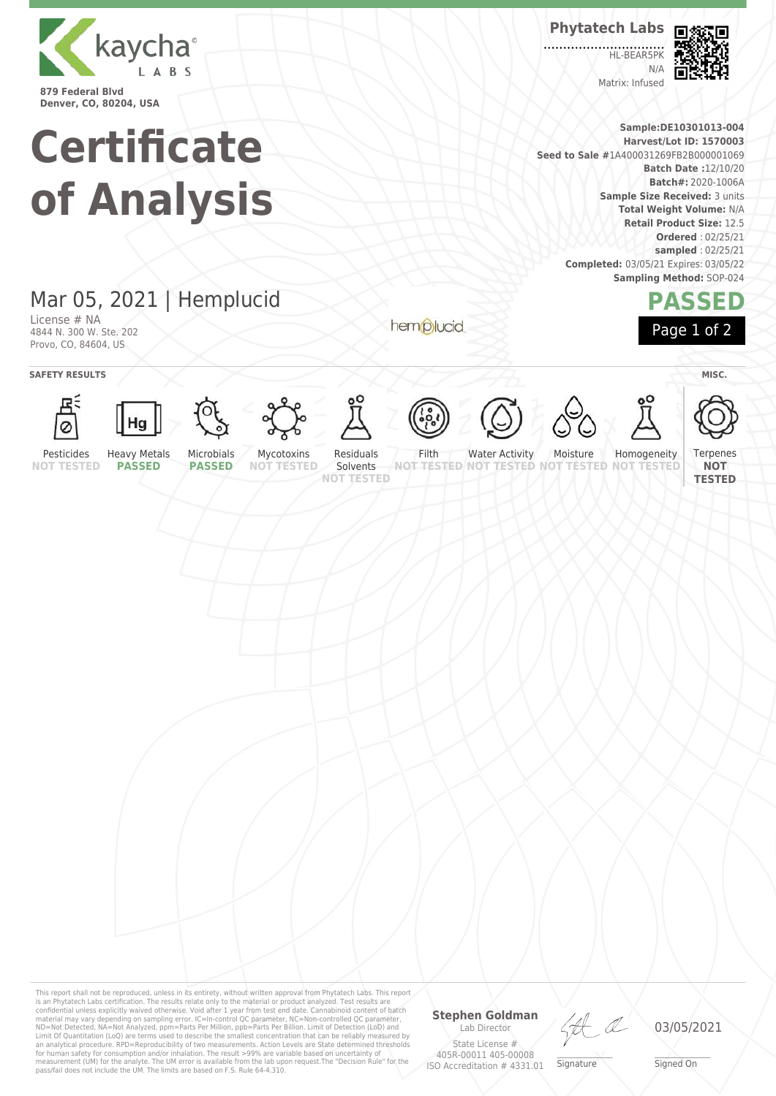

**Certificate of Analysis**

# Mar 05, 2021 | Hemplucid

License # NA 4844 N. 300 W. Ste. 202 Provo, CO, 84604, US

hemplucid



HL-BEAR5P  $N/4$ Matrix: Infused



**Sample:DE10301013-004 Harvest/Lot ID: 1570003 Seed to Sale #**1A400031269FB2B000001069 **Batch Date :**12/10/20 **Batch#:** 2020-1006A **Sample Size Received:** 3 units **Total Weight Volume:** N/A **Retail Product Size:** 12.5 **Ordered** : 02/25/21 **sampled** : 02/25/21 **Completed:** 03/05/21 Expires: 03/05/22 **Sampling Method:** SOP-024

## **PASSED** Page 1 of 2

**SAFETY RESULTS** / **MISC.** Яś Ø Pesticides Heavy Metals Microbials Mycotoxins Residuals Filth Water Activity Moisture Homogeneity **Terpenes PASSED NOT TESTED PASSED NOT TESTED** Solvents **NOT NOT TESTED NOT TESTED NOT TESTED NOT TESTED NOT TESTED TESTED**

This report shall not be reproduced, unless in its entirety, without written approval from Phytatech Labs. This report<br>is an Phytatech Labs certification. The results relate only to the material or product analyzed. Test

### **Stephen Goldman**

Lab Director State License # 405R-00011 405-00008 ISO Accreditation # 4331.01



\_\_\_\_\_\_\_\_\_\_\_\_\_\_\_\_\_\_\_ Signature

03/05/2021

\_\_\_\_\_\_\_\_\_\_\_\_\_\_\_\_\_\_\_ Signed On